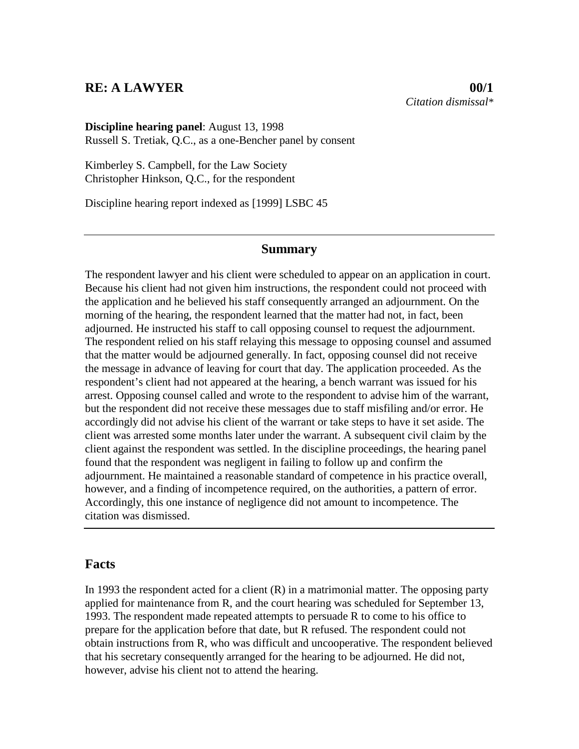## **RE: A LAWYER 00/1**

**Discipline hearing panel**: August 13, 1998 Russell S. Tretiak, Q.C., as a one-Bencher panel by consent

Kimberley S. Campbell, for the Law Society Christopher Hinkson, Q.C., for the respondent

Discipline hearing report indexed as [1999] LSBC 45

## **Summary**

The respondent lawyer and his client were scheduled to appear on an application in court. Because his client had not given him instructions, the respondent could not proceed with the application and he believed his staff consequently arranged an adjournment. On the morning of the hearing, the respondent learned that the matter had not, in fact, been adjourned. He instructed his staff to call opposing counsel to request the adjournment. The respondent relied on his staff relaying this message to opposing counsel and assumed that the matter would be adjourned generally. In fact, opposing counsel did not receive the message in advance of leaving for court that day. The application proceeded. As the respondent's client had not appeared at the hearing, a bench warrant was issued for his arrest. Opposing counsel called and wrote to the respondent to advise him of the warrant, but the respondent did not receive these messages due to staff misfiling and/or error. He accordingly did not advise his client of the warrant or take steps to have it set aside. The client was arrested some months later under the warrant. A subsequent civil claim by the client against the respondent was settled. In the discipline proceedings, the hearing panel found that the respondent was negligent in failing to follow up and confirm the adjournment. He maintained a reasonable standard of competence in his practice overall, however, and a finding of incompetence required, on the authorities, a pattern of error. Accordingly, this one instance of negligence did not amount to incompetence. The citation was dismissed.

## **Facts**

In 1993 the respondent acted for a client  $(R)$  in a matrimonial matter. The opposing party applied for maintenance from R, and the court hearing was scheduled for September 13, 1993. The respondent made repeated attempts to persuade R to come to his office to prepare for the application before that date, but R refused. The respondent could not obtain instructions from R, who was difficult and uncooperative. The respondent believed that his secretary consequently arranged for the hearing to be adjourned. He did not, however, advise his client not to attend the hearing.